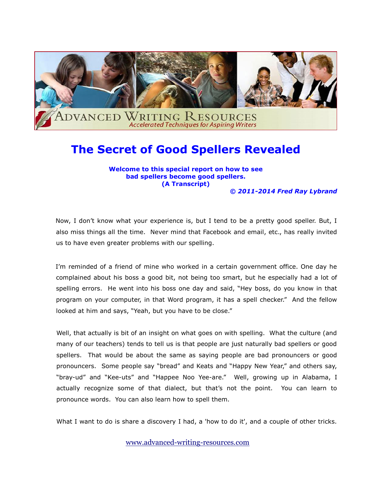

## **The Secret of Good Spellers Revealed**

**Welcome to this special report on how to see bad spellers become good spellers. (A Transcript)**

*© 2011-2014 Fred Ray Lybrand*

Now, I don't know what your experience is, but I tend to be a pretty good speller. But, I also miss things all the time. Never mind that Facebook and email, etc., has really invited us to have even greater problems with our spelling.

I'm reminded of a friend of mine who worked in a certain government office. One day he complained about his boss a good bit, not being too smart, but he especially had a lot of spelling errors. He went into his boss one day and said, "Hey boss, do you know in that program on your computer, in that Word program, it has a spell checker." And the fellow looked at him and says, "Yeah, but you have to be close."

Well, that actually is bit of an insight on what goes on with spelling. What the culture (and many of our teachers) tends to tell us is that people are just naturally bad spellers or good spellers. That would be about the same as saying people are bad pronouncers or good pronouncers. Some people say "bread" and Keats and "Happy New Year," and others say, "bray-ud" and "Kee-uts" and "Happee Noo Yee-are." Well, growing up in Alabama, I actually recognize some of that dialect, but that's not the point. You can learn to pronounce words. You can also learn how to spell them.

What I want to do is share a discovery I had, a 'how to do it', and a couple of other tricks.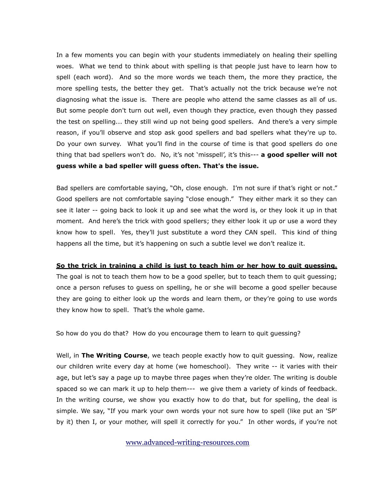In a few moments you can begin with your students immediately on healing their spelling woes. What we tend to think about with spelling is that people just have to learn how to spell (each word). And so the more words we teach them, the more they practice, the more spelling tests, the better they get. That's actually not the trick because we're not diagnosing what the issue is. There are people who attend the same classes as all of us. But some people don't turn out well, even though they practice, even though they passed the test on spelling... they still wind up not being good spellers. And there's a very simple reason, if you'll observe and stop ask good spellers and bad spellers what they're up to. Do your own survey. What you'll find in the course of time is that good spellers do one thing that bad spellers won't do. No, it's not 'misspell', it's this--- **a good speller will not guess while a bad speller will guess often. That's the issue.**

Bad spellers are comfortable saying, "Oh, close enough. I'm not sure if that's right or not." Good spellers are not comfortable saying "close enough." They either mark it so they can see it later -- going back to look it up and see what the word is, or they look it up in that moment. And here's the trick with good spellers; they either look it up or use a word they know how to spell. Yes, they'll just substitute a word they CAN spell. This kind of thing happens all the time, but it's happening on such a subtle level we don't realize it.

## **So the trick in training a child is just to teach him or her how to quit guessing.**

The goal is not to teach them how to be a good speller, but to teach them to quit guessing; once a person refuses to guess on spelling, he or she will become a good speller because they are going to either look up the words and learn them, or they're going to use words they know how to spell. That's the whole game.

So how do you do that? How do you encourage them to learn to quit guessing?

Well, in **The Writing Course**, we teach people exactly how to quit guessing. Now, realize our children write every day at home (we homeschool). They write -- it varies with their age, but let's say a page up to maybe three pages when they're older. The writing is double spaced so we can mark it up to help them--- we give them a variety of kinds of feedback. In the writing course, we show you exactly how to do that, but for spelling, the deal is simple. We say, "If you mark your own words your not sure how to spell (like put an 'SP' by it) then I, or your mother, will spell it correctly for you." In other words, if you're not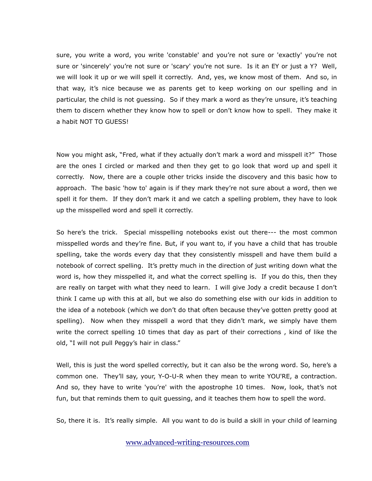sure, you write a word, you write 'constable' and you're not sure or 'exactly' you're not sure or 'sincerely' you're not sure or 'scary' you're not sure. Is it an EY or just a Y? Well, we will look it up or we will spell it correctly. And, yes, we know most of them. And so, in that way, it's nice because we as parents get to keep working on our spelling and in particular, the child is not guessing. So if they mark a word as they're unsure, it's teaching them to discern whether they know how to spell or don't know how to spell. They make it a habit NOT TO GUESS!

Now you might ask, "Fred, what if they actually don't mark a word and misspell it?" Those are the ones I circled or marked and then they get to go look that word up and spell it correctly. Now, there are a couple other tricks inside the discovery and this basic how to approach. The basic 'how to' again is if they mark they're not sure about a word, then we spell it for them. If they don't mark it and we catch a spelling problem, they have to look up the misspelled word and spell it correctly.

So here's the trick. Special misspelling notebooks exist out there--- the most common misspelled words and they're fine. But, if you want to, if you have a child that has trouble spelling, take the words every day that they consistently misspell and have them build a notebook of correct spelling. It's pretty much in the direction of just writing down what the word is, how they misspelled it, and what the correct spelling is. If you do this, then they are really on target with what they need to learn. I will give Jody a credit because I don't think I came up with this at all, but we also do something else with our kids in addition to the idea of a notebook (which we don't do that often because they've gotten pretty good at spelling). Now when they misspell a word that they didn't mark, we simply have them write the correct spelling 10 times that day as part of their corrections , kind of like the old, "I will not pull Peggy's hair in class."

Well, this is just the word spelled correctly, but it can also be the wrong word. So, here's a common one. They'll say, your, Y-O-U-R when they mean to write YOU'RE, a contraction. And so, they have to write 'you're' with the apostrophe 10 times. Now, look, that's not fun, but that reminds them to quit guessing, and it teaches them how to spell the word.

So, there it is. It's really simple. All you want to do is build a skill in your child of learning